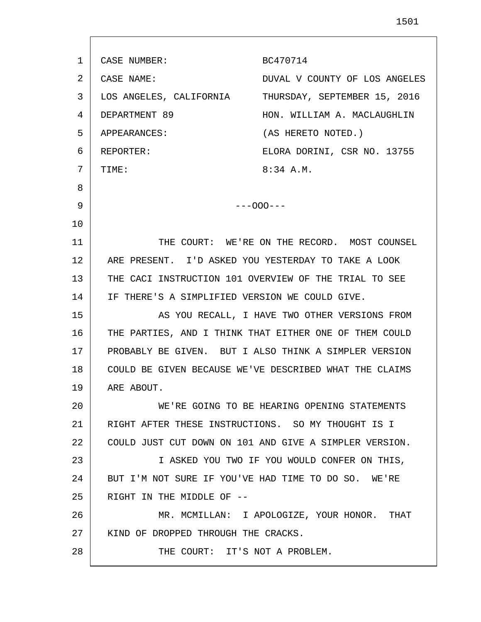1 2 3 4 5 6 7 8 9 10 11 12 13 14 15 16 17 18 19 20 21 22 23 24 25 26 27 28 CASE NUMBER: BC470714 CASE NAME: DUVAL V COUNTY OF LOS ANGELES LOS ANGELES, CALIFORNIA THURSDAY, SEPTEMBER 15, 2016 DEPARTMENT 89 HON. WILLIAM A. MACLAUGHLIN APPEARANCES: (AS HERETO NOTED.) REPORTER: ELORA DORINI, CSR NO. 13755 TIME: 8:34 A.M. ---OOO--- THE COURT: WE'RE ON THE RECORD. MOST COUNSEL ARE PRESENT. I'D ASKED YOU YESTERDAY TO TAKE A LOOK THE CACI INSTRUCTION 101 OVERVIEW OF THE TRIAL TO SEE IF THERE'S A SIMPLIFIED VERSION WE COULD GIVE. AS YOU RECALL, I HAVE TWO OTHER VERSIONS FROM THE PARTIES, AND I THINK THAT EITHER ONE OF THEM COULD PROBABLY BE GIVEN. BUT I ALSO THINK A SIMPLER VERSION COULD BE GIVEN BECAUSE WE'VE DESCRIBED WHAT THE CLAIMS ARE ABOUT. WE'RE GOING TO BE HEARING OPENING STATEMENTS RIGHT AFTER THESE INSTRUCTIONS. SO MY THOUGHT IS I COULD JUST CUT DOWN ON 101 AND GIVE A SIMPLER VERSION. I ASKED YOU TWO IF YOU WOULD CONFER ON THIS, BUT I'M NOT SURE IF YOU'VE HAD TIME TO DO SO. WE'RE RIGHT IN THE MIDDLE OF -- MR. MCMILLAN: I APOLOGIZE, YOUR HONOR. THAT KIND OF DROPPED THROUGH THE CRACKS. THE COURT: IT'S NOT A PROBLEM.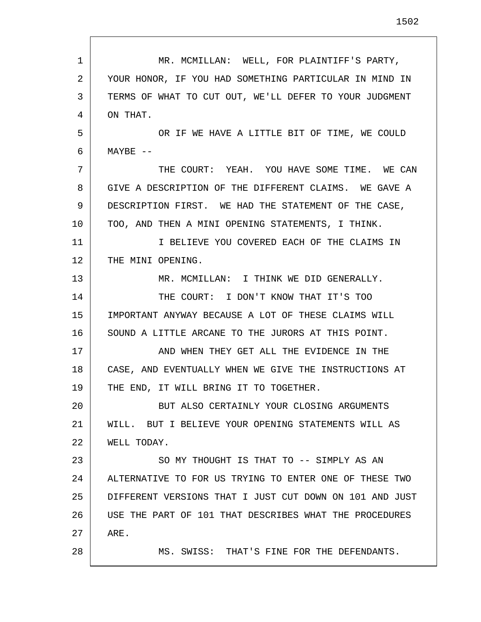1 2 3 4 5 6 7 8 9 10 11 12 13 14 15 16 17 18 19 20 21 22 23 24 25 26 27 28 MR. MCMILLAN: WELL, FOR PLAINTIFF'S PARTY, YOUR HONOR, IF YOU HAD SOMETHING PARTICULAR IN MIND IN TERMS OF WHAT TO CUT OUT, WE'LL DEFER TO YOUR JUDGMENT ON THAT. OR IF WE HAVE A LITTLE BIT OF TIME, WE COULD  $MAYBE$   $--$ THE COURT: YEAH. YOU HAVE SOME TIME. WE CAN GIVE A DESCRIPTION OF THE DIFFERENT CLAIMS. WE GAVE A DESCRIPTION FIRST. WE HAD THE STATEMENT OF THE CASE, TOO, AND THEN A MINI OPENING STATEMENTS, I THINK. I BELIEVE YOU COVERED EACH OF THE CLAIMS IN THE MINI OPENING. MR. MCMILLAN: I THINK WE DID GENERALLY. THE COURT: I DON'T KNOW THAT IT'S TOO IMPORTANT ANYWAY BECAUSE A LOT OF THESE CLAIMS WILL SOUND A LITTLE ARCANE TO THE JURORS AT THIS POINT. AND WHEN THEY GET ALL THE EVIDENCE IN THE CASE, AND EVENTUALLY WHEN WE GIVE THE INSTRUCTIONS AT THE END, IT WILL BRING IT TO TOGETHER. BUT ALSO CERTAINLY YOUR CLOSING ARGUMENTS WILL. BUT I BELIEVE YOUR OPENING STATEMENTS WILL AS WELL TODAY. SO MY THOUGHT IS THAT TO -- SIMPLY AS AN ALTERNATIVE TO FOR US TRYING TO ENTER ONE OF THESE TWO DIFFERENT VERSIONS THAT I JUST CUT DOWN ON 101 AND JUST USE THE PART OF 101 THAT DESCRIBES WHAT THE PROCEDURES ARE. MS. SWISS: THAT'S FINE FOR THE DEFENDANTS.

1502